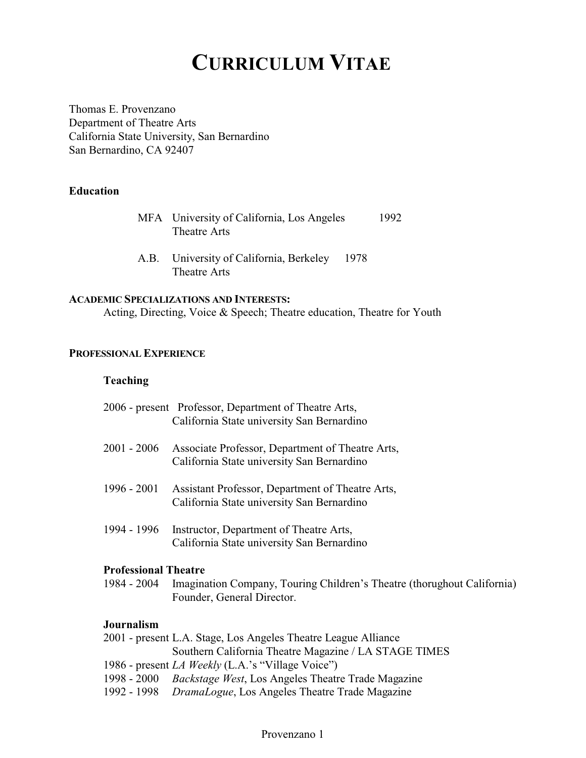# **CURRICULUM VITAE**

Thomas E. Provenzano Department of Theatre Arts California State University, San Bernardino San Bernardino, CA 92407

# **Education**

| MFA University of California, Los Angeles | 1992 |
|-------------------------------------------|------|
| Theatre Arts                              |      |

A.B. University of California, Berkeley 1978 Theatre Arts

#### **ACADEMIC SPECIALIZATIONS AND INTERESTS:**

Acting, Directing, Voice & Speech; Theatre education, Theatre for Youth

# **PROFESSIONAL EXPERIENCE**

### **Teaching**

|                             | 2006 - present Professor, Department of Theatre Arts,                                          |
|-----------------------------|------------------------------------------------------------------------------------------------|
|                             | California State university San Bernardino                                                     |
| 2001 - 2006                 | Associate Professor, Department of Theatre Arts,<br>California State university San Bernardino |
|                             |                                                                                                |
| 1996 - 2001                 | Assistant Professor, Department of Theatre Arts,                                               |
|                             | California State university San Bernardino                                                     |
| 1994 - 1996                 | Instructor, Department of Theatre Arts,                                                        |
|                             | California State university San Bernardino                                                     |
| <b>Professional Theatre</b> |                                                                                                |
|                             | 1984 - 2004 Imagination Company, Touring Children's Theatre (thorughout California)            |
|                             | Founder, General Director.                                                                     |
| Journalism                  |                                                                                                |
|                             | 2001 - present L.A. Stage, Los Angeles Theatre League Alliance                                 |
|                             | Southern California Theatre Magazine / LA STAGE TIMES                                          |
|                             | 1986 - present <i>LA Weekly</i> (L.A.'s "Village Voice")                                       |

- 1998 2000 *Backstage West*, Los Angeles Theatre Trade Magazine
- 1992 1998 *DramaLogue*, Los Angeles Theatre Trade Magazine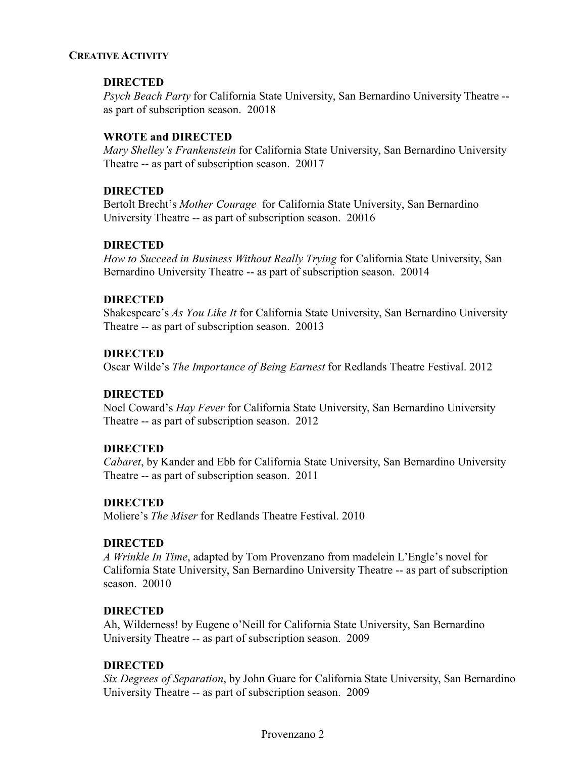#### **CREATIVE ACTIVITY**

# **DIRECTED**

*Psych Beach Party* for California State University, San Bernardino University Theatre - as part of subscription season. 20018

# **WROTE and DIRECTED**

*Mary Shelley's Frankenstein* for California State University, San Bernardino University Theatre -- as part of subscription season. 20017

# **DIRECTED**

Bertolt Brecht's *Mother Courage* for California State University, San Bernardino University Theatre -- as part of subscription season. 20016

# **DIRECTED**

*How to Succeed in Business Without Really Trying* for California State University, San Bernardino University Theatre -- as part of subscription season. 20014

# **DIRECTED**

Shakespeare's *As You Like It* for California State University, San Bernardino University Theatre -- as part of subscription season. 20013

# **DIRECTED**

Oscar Wilde's *The Importance of Being Earnest* for Redlands Theatre Festival. 2012

# **DIRECTED**

Noel Coward's *Hay Fever* for California State University, San Bernardino University Theatre -- as part of subscription season. 2012

# **DIRECTED**

*Cabaret*, by Kander and Ebb for California State University, San Bernardino University Theatre -- as part of subscription season. 2011

# **DIRECTED**

Moliere's *The Miser* for Redlands Theatre Festival. 2010

# **DIRECTED**

*A Wrinkle In Time*, adapted by Tom Provenzano from madelein L'Engle's novel for California State University, San Bernardino University Theatre -- as part of subscription season. 20010

# **DIRECTED**

Ah, Wilderness! by Eugene o'Neill for California State University, San Bernardino University Theatre -- as part of subscription season. 2009

# **DIRECTED**

*Six Degrees of Separation*, by John Guare for California State University, San Bernardino University Theatre -- as part of subscription season. 2009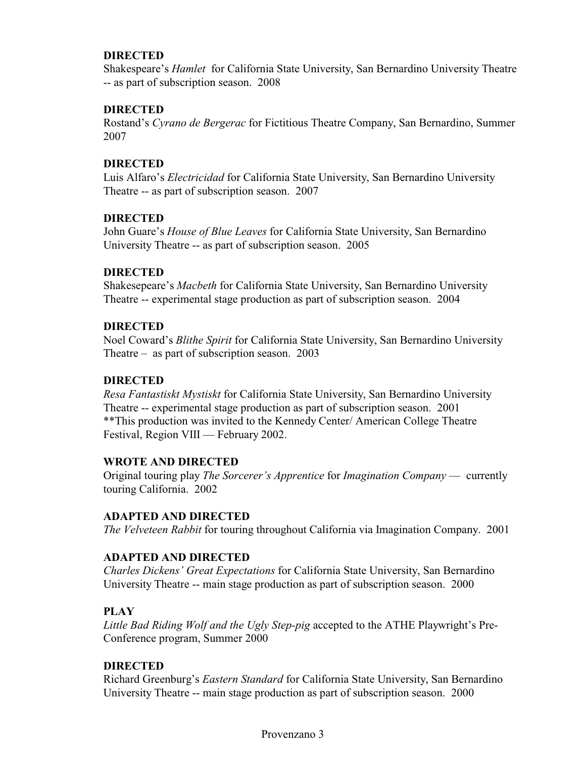# **DIRECTED**

Shakespeare's *Hamlet* for California State University, San Bernardino University Theatre -- as part of subscription season. 2008

# **DIRECTED**

Rostand's *Cyrano de Bergerac* for Fictitious Theatre Company, San Bernardino, Summer 2007

# **DIRECTED**

Luis Alfaro's *Electricidad* for California State University, San Bernardino University Theatre -- as part of subscription season. 2007

# **DIRECTED**

John Guare's *House of Blue Leaves* for California State University, San Bernardino University Theatre -- as part of subscription season. 2005

# **DIRECTED**

Shakesepeare's *Macbeth* for California State University, San Bernardino University Theatre -- experimental stage production as part of subscription season. 2004

# **DIRECTED**

Noel Coward's *Blithe Spirit* for California State University, San Bernardino University Theatre – as part of subscription season. 2003

# **DIRECTED**

*Resa Fantastiskt Mystiskt* for California State University, San Bernardino University Theatre -- experimental stage production as part of subscription season. 2001 \*\*This production was invited to the Kennedy Center/ American College Theatre Festival, Region VIII — February 2002.

# **WROTE AND DIRECTED**

Original touring play *The Sorcerer's Apprentice* for *Imagination Company* — currently touring California. 2002

# **ADAPTED AND DIRECTED**

*The Velveteen Rabbit* for touring throughout California via Imagination Company. 2001

# **ADAPTED AND DIRECTED**

*Charles Dickens' Great Expectations* for California State University, San Bernardino University Theatre -- main stage production as part of subscription season. 2000

# **PLAY**

*Little Bad Riding Wolf and the Ugly Step-pig* accepted to the ATHE Playwright's Pre-Conference program, Summer 2000

# **DIRECTED**

Richard Greenburg's *Eastern Standard* for California State University, San Bernardino University Theatre -- main stage production as part of subscription season. 2000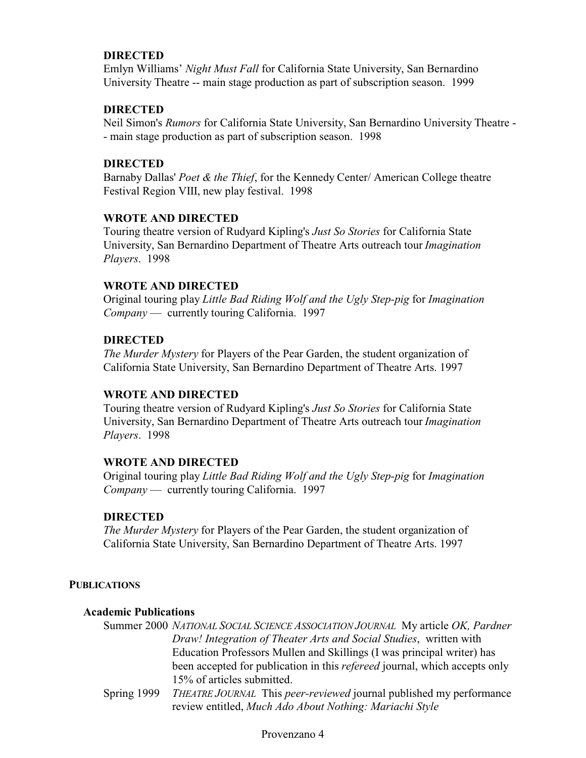# **DIRECTED**

Emlyn Williams' *Night Must Fall* for California State University, San Bernardino University Theatre -- main stage production as part of subscription season. 1999

### **DIRECTED**

Neil Simon's *Rumors* for California State University, San Bernardino University Theatre - - main stage production as part of subscription season. 1998

#### **DIRECTED**

Barnaby Dallas' *Poet & the Thief*, for the Kennedy Center/ American College theatre Festival Region VIII, new play festival. 1998

#### **WROTE AND DIRECTED**

Touring theatre version of Rudyard Kipling's *Just So Stories* for California State University, San Bernardino Department of Theatre Arts outreach tour *Imagination Players*. 1998

#### **WROTE AND DIRECTED**

Original touring play *Little Bad Riding Wolf and the Ugly Step-pig* for *Imagination Company* — currently touring California. 1997

#### **DIRECTED**

*The Murder Mystery* for Players of the Pear Garden, the student organization of California State University, San Bernardino Department of Theatre Arts. 1997

#### **WROTE AND DIRECTED**

Touring theatre version of Rudyard Kipling's *Just So Stories* for California State University, San Bernardino Department of Theatre Arts outreach tour *Imagination Players*. 1998

#### **WROTE AND DIRECTED**

Original touring play *Little Bad Riding Wolf and the Ugly Step-pig* for *Imagination Company* — currently touring California. 1997

#### **DIRECTED**

*The Murder Mystery* for Players of the Pear Garden, the student organization of California State University, San Bernardino Department of Theatre Arts. 1997

#### **PUBLICATIONS**

#### **Academic Publications**

Summer 2000 *NATIONAL SOCIAL SCIENCE ASSOCIATION JOURNAL* My article *OK, Pardner Draw! Integration of Theater Arts and Social Studies*, written with Education Professors Mullen and Skillings (I was principal writer) has been accepted for publication in this *refereed* journal, which accepts only 15% of articles submitted.

Spring 1999 *THEATRE JOURNAL* This *peer-reviewed* journal published my performance review entitled, *Much Ado About Nothing: Mariachi Style*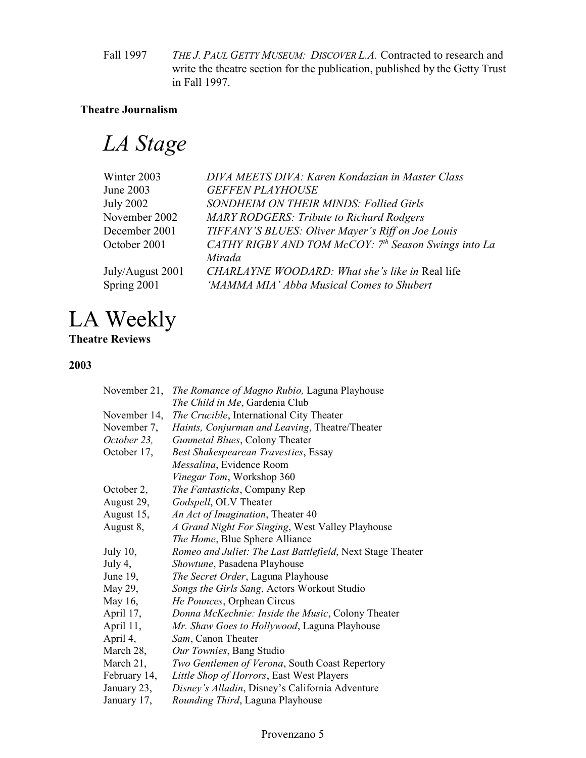Fall 1997 *THE J. PAUL GETTY MUSEUM: DISCOVER L.A.* Contracted to research and write the theatre section for the publication, published by the Getty Trust in Fall 1997.

# **Theatre Journalism**

*LA Stage*

| Winter 2003      | DIVA MEETS DIVA: Karen Kondazian in Master Class     |
|------------------|------------------------------------------------------|
| June 2003        | <b>GEFFEN PLAYHOUSE</b>                              |
| July 2002        | <b>SONDHEIM ON THEIR MINDS: Follied Girls</b>        |
| November 2002    | <b>MARY RODGERS: Tribute to Richard Rodgers</b>      |
| December 2001    | TIFFANY'S BLUES: Oliver Mayer's Riff on Joe Louis    |
| October 2001     | CATHY RIGBY AND TOM McCOY: 7th Season Swings into La |
|                  | Mirada                                               |
| July/August 2001 | CHARLAYNE WOODARD: What she's like in Real life      |
| Spring 2001      | 'MAMMA MIA' Abba Musical Comes to Shubert            |
|                  |                                                      |

# LA Weekly

# **Theatre Reviews**

# **2003**

| November 21, | The Romance of Magno Rubio, Laguna Playhouse               |
|--------------|------------------------------------------------------------|
|              | The Child in Me, Gardenia Club                             |
| November 14, | The Crucible, International City Theater                   |
| November 7,  | Haints, Conjurman and Leaving, Theatre/Theater             |
| October 23,  | Gunmetal Blues, Colony Theater                             |
| October 17,  | Best Shakespearean Travesties, Essay                       |
|              | Messalina, Evidence Room                                   |
|              | Vinegar Tom, Workshop 360                                  |
| October 2,   | The Fantasticks, Company Rep                               |
| August 29,   | Godspell, OLV Theater                                      |
| August 15,   | An Act of Imagination, Theater 40                          |
| August 8,    | A Grand Night For Singing, West Valley Playhouse           |
|              | The Home, Blue Sphere Alliance                             |
| July $10$ ,  | Romeo and Juliet: The Last Battlefield, Next Stage Theater |
| July 4,      | Showtune, Pasadena Playhouse                               |
| June 19,     | The Secret Order, Laguna Playhouse                         |
| May 29,      | Songs the Girls Sang, Actors Workout Studio                |
| May 16,      | He Pounces, Orphean Circus                                 |
| April 17,    | Donna McKechnie: Inside the Music, Colony Theater          |
| April 11,    | Mr. Shaw Goes to Hollywood, Laguna Playhouse               |
| April 4,     | Sam, Canon Theater                                         |
| March 28,    | Our Townies, Bang Studio                                   |
| March 21,    | Two Gentlemen of Verona, South Coast Repertory             |
| February 14, | Little Shop of Horrors, East West Players                  |
| January 23,  | Disney's Alladin, Disney's California Adventure            |
| January 17,  | Rounding Third, Laguna Playhouse                           |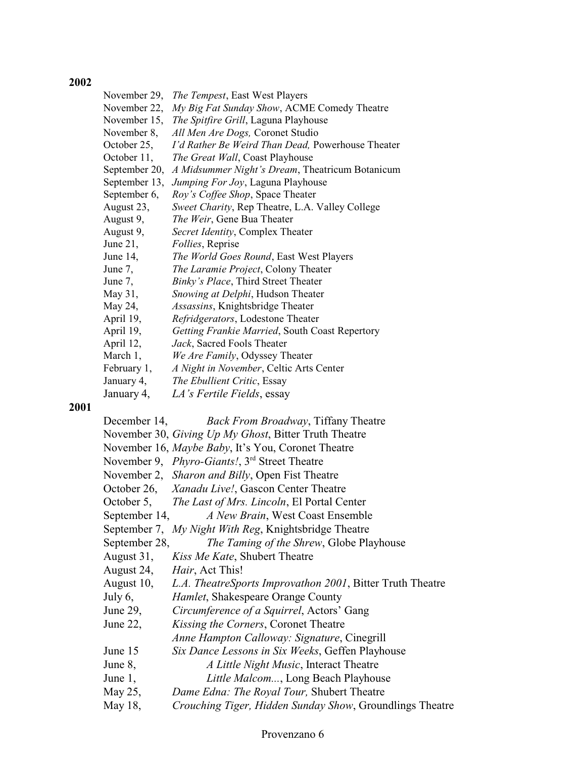#### **2002**

**2001**

| The Tempest, East West Players                        |
|-------------------------------------------------------|
| My Big Fat Sunday Show, ACME Comedy Theatre           |
| The Spitfire Grill, Laguna Playhouse                  |
| All Men Are Dogs, Coronet Studio                      |
| I'd Rather Be Weird Than Dead, Powerhouse Theater     |
| The Great Wall, Coast Playhouse                       |
| A Midsummer Night's Dream, Theatricum Botanicum       |
| Jumping For Joy, Laguna Playhouse                     |
| Roy's Coffee Shop, Space Theater                      |
| Sweet Charity, Rep Theatre, L.A. Valley College       |
| The Weir, Gene Bua Theater                            |
| Secret Identity, Complex Theater                      |
| <i>Follies</i> , Reprise                              |
| The World Goes Round, East West Players               |
| The Laramie Project, Colony Theater                   |
| Binky's Place, Third Street Theater                   |
| Snowing at Delphi, Hudson Theater                     |
| Assassins, Knightsbridge Theater                      |
| Refridgerators, Lodestone Theater                     |
| Getting Frankie Married, South Coast Repertory        |
| Jack, Sacred Fools Theater                            |
| We Are Family, Odyssey Theater                        |
| A Night in November, Celtic Arts Center               |
| The Ebullient Critic, Essay                           |
| LA's Fertile Fields, essay                            |
| <b>Back From Broadway, Tiffany Theatre</b>            |
| November 30, Giving Up My Ghost, Bitter Truth Theatre |
| November 16, Maybe Baby, It's You, Coronet Theatre    |
|                                                       |

- November 9, *Phyro-Giants!*, 3<sup>rd</sup> Street Theatre
- November 2, *Sharon and Billy*, Open Fist Theatre
- October 26, *Xanadu Live!*, Gascon Center Theatre
- October 5, *The Last of Mrs. Lincoln*, El Portal Center
- September 14, *A New Brain*, West Coast Ensemble
- September 7, *My Night With Reg*, Knightsbridge Theatre

September 28, *The Taming of the Shrew*, Globe Playhouse

- August 31, *Kiss Me Kate*, Shubert Theatre
- August 24, *Hair*, Act This!
- August 10, *L.A. TheatreSports Improvathon 2001*, Bitter Truth Theatre
- July 6, *Hamlet*, Shakespeare Orange County
- June 29, *Circumference of a Squirrel*, Actors' Gang
- June 22, *Kissing the Corners*, Coronet Theatre
- *Anne Hampton Calloway: Signature*, Cinegrill
- June 15 *Six Dance Lessons in Six Weeks*, Geffen Playhouse
- June 8, *A Little Night Music*, Interact Theatre
- June 1, *Little Malcom...*, Long Beach Playhouse
- May 25, *Dame Edna: The Royal Tour,* Shubert Theatre
- May 18, *Crouching Tiger, Hidden Sunday Show*, Groundlings Theatre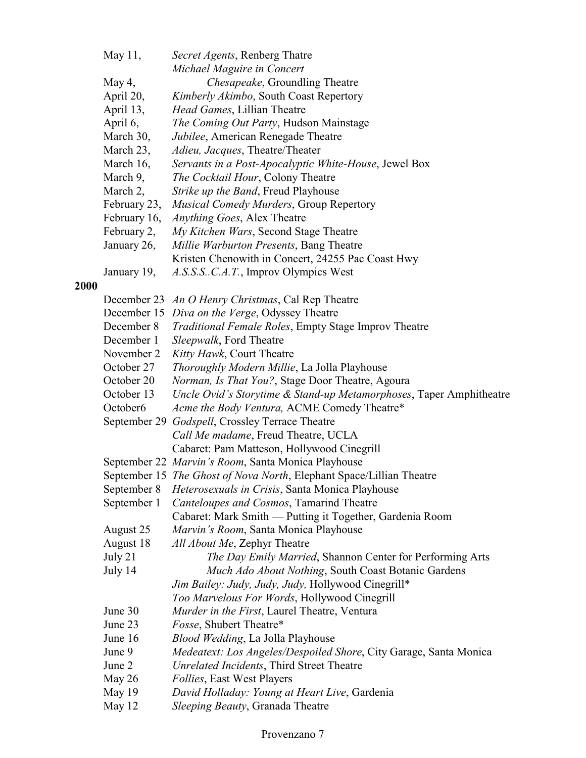|      | May 11,              | Secret Agents, Renberg Thatre                                                               |
|------|----------------------|---------------------------------------------------------------------------------------------|
|      |                      | Michael Maguire in Concert                                                                  |
|      | May 4,               | Chesapeake, Groundling Theatre                                                              |
|      | April 20,            | Kimberly Akimbo, South Coast Repertory                                                      |
|      | April 13,            | Head Games, Lillian Theatre                                                                 |
|      | April 6,             | The Coming Out Party, Hudson Mainstage                                                      |
|      | March 30,            | Jubilee, American Renegade Theatre                                                          |
|      | March 23,            | Adieu, Jacques, Theatre/Theater                                                             |
|      | March 16,            | Servants in a Post-Apocalyptic White-House, Jewel Box                                       |
|      | March 9,             | The Cocktail Hour, Colony Theatre                                                           |
|      | March 2,             | Strike up the Band, Freud Playhouse                                                         |
|      | February 23,         | Musical Comedy Murders, Group Repertory                                                     |
|      | February 16,         | Anything Goes, Alex Theatre                                                                 |
|      | February 2,          | My Kitchen Wars, Second Stage Theatre                                                       |
|      | January 26,          | Millie Warburton Presents, Bang Theatre                                                     |
|      |                      | Kristen Chenowith in Concert, 24255 Pac Coast Hwy                                           |
|      | January 19,          | A.S.S.S.C.A.T., Improv Olympics West                                                        |
| 2000 |                      |                                                                                             |
|      |                      | December 23 An O Henry Christmas, Cal Rep Theatre                                           |
|      |                      | December 15 Diva on the Verge, Odyssey Theatre                                              |
|      | December 8           | <b>Traditional Female Roles, Empty Stage Improv Theatre</b>                                 |
|      | December 1           | Sleepwalk, Ford Theatre                                                                     |
|      | November 2           | Kitty Hawk, Court Theatre                                                                   |
|      | October 27           | Thoroughly Modern Millie, La Jolla Playhouse                                                |
|      | October 20           | Norman, Is That You?, Stage Door Theatre, Agoura                                            |
|      | October 13           | Uncle Ovid's Storytime & Stand-up Metamorphoses, Taper Amphitheatre                         |
|      | October <sub>6</sub> | Acme the Body Ventura, ACME Comedy Theatre*                                                 |
|      |                      | September 29 Godspell, Crossley Terrace Theatre                                             |
|      |                      | Call Me madame, Freud Theatre, UCLA                                                         |
|      |                      | Cabaret: Pam Matteson, Hollywood Cinegrill                                                  |
|      |                      | September 22 Marvin's Room, Santa Monica Playhouse                                          |
|      | September 8          | September 15 The Ghost of Nova North, Elephant Space/Lillian Theatre                        |
|      | September 1          | Heterosexuals in Crisis, Santa Monica Playhouse<br>Canteloupes and Cosmos, Tamarind Theatre |
|      |                      | Cabaret: Mark Smith — Putting it Together, Gardenia Room                                    |
|      | August 25            | Marvin's Room, Santa Monica Playhouse                                                       |
|      | August 18            | All About Me, Zephyr Theatre                                                                |
|      | July 21              | The Day Emily Married, Shannon Center for Performing Arts                                   |
|      | July 14              | Much Ado About Nothing, South Coast Botanic Gardens                                         |
|      |                      | Jim Bailey: Judy, Judy, Judy, Hollywood Cinegrill*                                          |
|      |                      | Too Marvelous For Words, Hollywood Cinegrill                                                |
|      | June 30              | Murder in the First, Laurel Theatre, Ventura                                                |
|      | June 23              | Fosse, Shubert Theatre*                                                                     |
|      | June 16              | Blood Wedding, La Jolla Playhouse                                                           |
|      | June 9               | Medeatext: Los Angeles/Despoiled Shore, City Garage, Santa Monica                           |
|      | June 2               | Unrelated Incidents, Third Street Theatre                                                   |
|      | May 26               | Follies, East West Players                                                                  |
|      | May 19               | David Holladay: Young at Heart Live, Gardenia                                               |
|      | May 12               | Sleeping Beauty, Granada Theatre                                                            |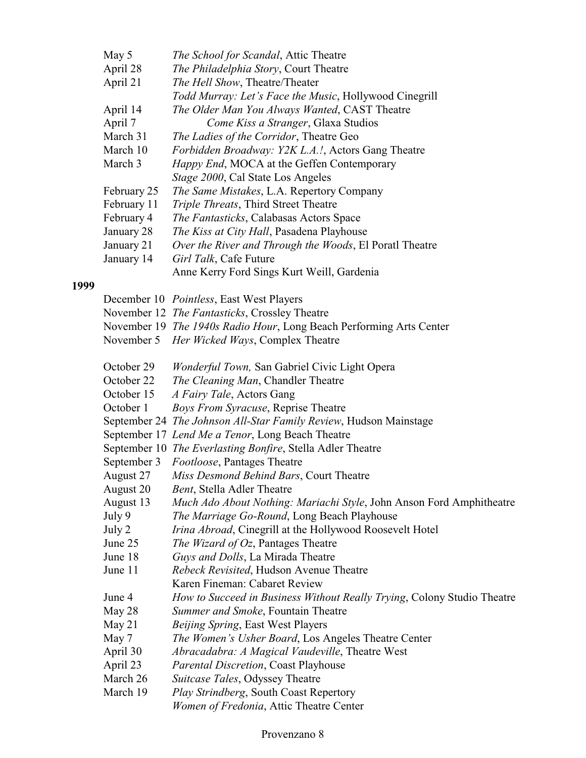| May 5       | <i>The School for Scandal</i> , Attic Theatre                           |
|-------------|-------------------------------------------------------------------------|
| April 28    | The Philadelphia Story, Court Theatre                                   |
| April 21    | The Hell Show, Theatre/Theater                                          |
|             | Todd Murray: Let's Face the Music, Hollywood Cinegrill                  |
| April 14    | The Older Man You Always Wanted, CAST Theatre                           |
| April 7     | Come Kiss a Stranger, Glaxa Studios                                     |
| March 31    | The Ladies of the Corridor, Theatre Geo                                 |
| March 10    | Forbidden Broadway: Y2K L.A.!, Actors Gang Theatre                      |
| March 3     | Happy End, MOCA at the Geffen Contemporary                              |
|             | Stage 2000, Cal State Los Angeles                                       |
| February 25 | The Same Mistakes, L.A. Repertory Company                               |
| February 11 | Triple Threats, Third Street Theatre                                    |
| February 4  | The Fantasticks, Calabasas Actors Space                                 |
| January 28  | The Kiss at City Hall, Pasadena Playhouse                               |
| January 21  | Over the River and Through the Woods, El Poratl Theatre                 |
| January 14  | Girl Talk, Cafe Future                                                  |
|             | Anne Kerry Ford Sings Kurt Weill, Gardenia                              |
|             |                                                                         |
|             | December 10 <i>Pointless</i> , East West Players                        |
|             | November 12 The Fantasticks, Crossley Theatre                           |
|             | November 19 The 1940s Radio Hour, Long Beach Performing Arts Center     |
|             | November 5 <i>Her Wicked Ways</i> , Complex Theatre                     |
|             |                                                                         |
| October 29  | Wonderful Town, San Gabriel Civic Light Opera                           |
| October 22  | The Cleaning Man, Chandler Theatre                                      |
| October 15  | A Fairy Tale, Actors Gang                                               |
| October 1   | <b>Boys From Syracuse, Reprise Theatre</b>                              |
|             | September 24 The Johnson All-Star Family Review, Hudson Mainstage       |
|             | September 17 Lend Me a Tenor, Long Beach Theatre                        |
|             | September 10 The Everlasting Bonfire, Stella Adler Theatre              |
|             | September 3 Footloose, Pantages Theatre                                 |
| August 27   | Miss Desmond Behind Bars, Court Theatre                                 |
| August 20   | Bent, Stella Adler Theatre                                              |
| August 13   | Much Ado About Nothing: Mariachi Style, John Anson Ford Amphitheatre    |
| July 9      | The Marriage Go-Round, Long Beach Playhouse                             |
| July 2      | Irina Abroad, Cinegrill at the Hollywood Roosevelt Hotel                |
| June 25     | The Wizard of Oz, Pantages Theatre                                      |
| June 18     | Guys and Dolls, La Mirada Theatre                                       |
| June 11     | Rebeck Revisited, Hudson Avenue Theatre                                 |
|             | Karen Fineman: Cabaret Review                                           |
| June 4      | How to Succeed in Business Without Really Trying, Colony Studio Theatre |
| May 28      | Summer and Smoke, Fountain Theatre                                      |
| May 21      | <i>Beijing Spring</i> , East West Players                               |
| May 7       | The Women's Usher Board, Los Angeles Theatre Center                     |
| April 30    | Abracadabra: A Magical Vaudeville, Theatre West                         |
| April 23    | <b>Parental Discretion, Coast Playhouse</b>                             |
| March 26    | Suitcase Tales, Odyssey Theatre                                         |
| March 19    | Play Strindberg, South Coast Repertory                                  |
|             |                                                                         |

 **1999**

# Provenzano 8

*Women of Fredonia*, Attic Theatre Center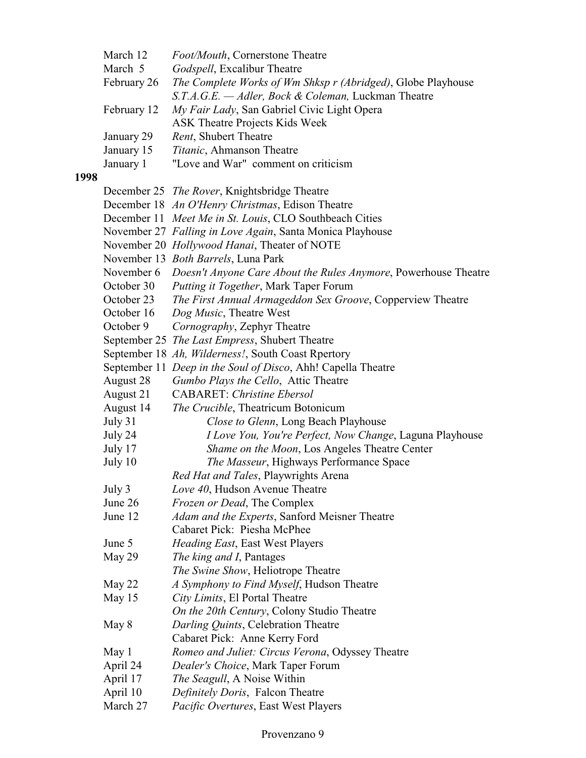|      | March 12    | Foot/Mouth, Cornerstone Theatre                                            |
|------|-------------|----------------------------------------------------------------------------|
|      | March 5     | Godspell, Excalibur Theatre                                                |
|      | February 26 | The Complete Works of Wm Shksp r (Abridged), Globe Playhouse               |
|      |             | S.T.A.G.E. - Adler, Bock & Coleman, Luckman Theatre                        |
|      | February 12 | My Fair Lady, San Gabriel Civic Light Opera                                |
|      |             | <b>ASK Theatre Projects Kids Week</b>                                      |
|      | January 29  | Rent, Shubert Theatre                                                      |
|      | January 15  | Titanic, Ahmanson Theatre                                                  |
|      | January 1   | "Love and War" comment on criticism                                        |
| 1998 |             |                                                                            |
|      |             | December 25 The Rover, Knightsbridge Theatre                               |
|      |             | December 18 An O'Henry Christmas, Edison Theatre                           |
|      |             | December 11 Meet Me in St. Louis, CLO Southbeach Cities                    |
|      |             | November 27 Falling in Love Again, Santa Monica Playhouse                  |
|      |             | November 20 Hollywood Hanai, Theater of NOTE                               |
|      |             | November 13 Both Barrels, Luna Park                                        |
|      |             | November 6 Doesn't Anyone Care About the Rules Anymore, Powerhouse Theatre |
|      | October 30  | Putting it Together, Mark Taper Forum                                      |
|      | October 23  | The First Annual Armageddon Sex Groove, Copperview Theatre                 |
|      | October 16  | Dog Music, Theatre West                                                    |
|      | October 9   | Cornography, Zephyr Theatre                                                |
|      |             | September 25 The Last Empress, Shubert Theatre                             |
|      |             | September 18 Ah, Wilderness!, South Coast Rpertory                         |
|      |             | September 11 Deep in the Soul of Disco, Ahh! Capella Theatre               |
|      | August 28   | Gumbo Plays the Cello, Attic Theatre                                       |
|      | August 21   | <b>CABARET:</b> Christine Ebersol                                          |
|      | August 14   | The Crucible, Theatricum Botonicum                                         |
|      | July 31     | Close to Glenn, Long Beach Playhouse                                       |
|      | July 24     | I Love You, You're Perfect, Now Change, Laguna Playhouse                   |
|      | July 17     | Shame on the Moon, Los Angeles Theatre Center                              |
|      | July 10     | The Masseur, Highways Performance Space                                    |
|      |             | Red Hat and Tales, Playwrights Arena                                       |
|      | July 3      | Love 40, Hudson Avenue Theatre                                             |
|      | June 26     | Frozen or Dead, The Complex                                                |
|      | June 12     | Adam and the Experts, Sanford Meisner Theatre                              |
|      |             | Cabaret Pick: Piesha McPhee                                                |
|      | June 5      | Heading East, East West Players                                            |
|      | May 29      | The king and I, Pantages                                                   |
|      |             | The Swine Show, Heliotrope Theatre                                         |
|      | May 22      | A Symphony to Find Myself, Hudson Theatre                                  |
|      | May 15      | City Limits, El Portal Theatre                                             |
|      |             | On the 20th Century, Colony Studio Theatre                                 |
|      | May 8       | Darling Quints, Celebration Theatre                                        |
|      |             | Cabaret Pick: Anne Kerry Ford                                              |
|      | May 1       | Romeo and Juliet: Circus Verona, Odyssey Theatre                           |
|      | April 24    | Dealer's Choice, Mark Taper Forum                                          |
|      | April 17    | <i>The Seagull</i> , A Noise Within                                        |
|      | April 10    | Definitely Doris, Falcon Theatre                                           |
|      | March 27    | Pacific Overtures, East West Players                                       |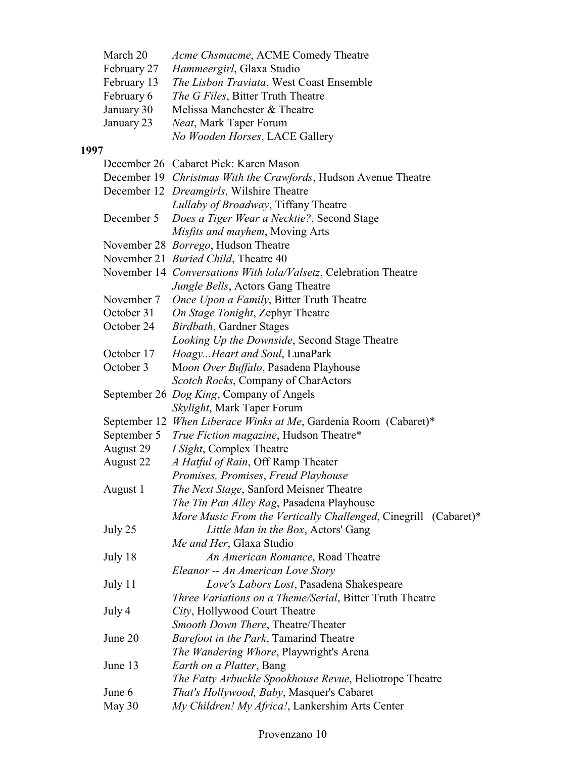| March 20    | Acme Chsmacme, ACME Comedy Theatre       |
|-------------|------------------------------------------|
| February 27 | Hammeergirl, Glaxa Studio                |
| February 13 | The Lisbon Traviata, West Coast Ensemble |
| February 6  | <i>The G Files, Bitter Truth Theatre</i> |
| January 30  | Melissa Manchester & Theatre             |
| January 23  | <i>Neat</i> , Mark Taper Forum           |
|             | No Wooden Horses, LACE Gallery           |

# **1997**

|             | December 26 Cabaret Pick: Karen Mason                            |
|-------------|------------------------------------------------------------------|
|             | December 19 Christmas With the Crawfords, Hudson Avenue Theatre  |
|             | December 12 <i>Dreamgirls</i> , Wilshire Theatre                 |
|             | Lullaby of Broadway, Tiffany Theatre                             |
| December 5  | Does a Tiger Wear a Necktie?, Second Stage                       |
|             | Misfits and mayhem, Moving Arts                                  |
|             | November 28 <i>Borrego</i> , Hudson Theatre                      |
|             | November 21 Buried Child, Theatre 40                             |
|             | November 14 Conversations With lola/Valsetz, Celebration Theatre |
|             | Jungle Bells, Actors Gang Theatre                                |
| November 7  | Once Upon a Family, Bitter Truth Theatre                         |
| October 31  | On Stage Tonight, Zephyr Theatre                                 |
| October 24  | Birdbath, Gardner Stages                                         |
|             | Looking Up the Downside, Second Stage Theatre                    |
| October 17  | HoagyHeart and Soul, LunaPark                                    |
| October 3   | Moon Over Buffalo, Pasadena Playhouse                            |
|             | Scotch Rocks, Company of CharActors                              |
|             | September 26 Dog King, Company of Angels                         |
|             | Skylight, Mark Taper Forum                                       |
|             | September 12 When Liberace Winks at Me, Gardenia Room (Cabaret)* |
| September 5 | True Fiction magazine, Hudson Theatre*                           |
| August 29   | <i>I Sight</i> , Complex Theatre                                 |
| August 22   | A Hatful of Rain, Off Ramp Theater                               |
|             | Promises, Promises, Freud Playhouse                              |
| August 1    | The Next Stage, Sanford Meisner Theatre                          |
|             | The Tin Pan Alley Rag, Pasadena Playhouse                        |
|             | More Music From the Vertically Challenged, Cinegrill (Cabaret)*  |
| July 25     | Little Man in the Box, Actors' Gang                              |
|             | Me and Her, Glaxa Studio                                         |
| July 18     | An American Romance, Road Theatre                                |
|             | Eleanor -- An American Love Story                                |
| July 11     | Love's Labors Lost, Pasadena Shakespeare                         |
|             | Three Variations on a Theme/Serial, Bitter Truth Theatre         |
| July 4      | City, Hollywood Court Theatre                                    |
|             | Smooth Down There, Theatre/Theater                               |
| June 20     | Barefoot in the Park, Tamarind Theatre                           |
|             | The Wandering Whore, Playwright's Arena                          |
| June 13     | Earth on a Platter, Bang                                         |
|             | The Fatty Arbuckle Spookhouse Revue, Heliotrope Theatre          |
| June 6      | That's Hollywood, Baby, Masquer's Cabaret                        |
| May 30      | My Children! My Africa!, Lankershim Arts Center                  |
|             |                                                                  |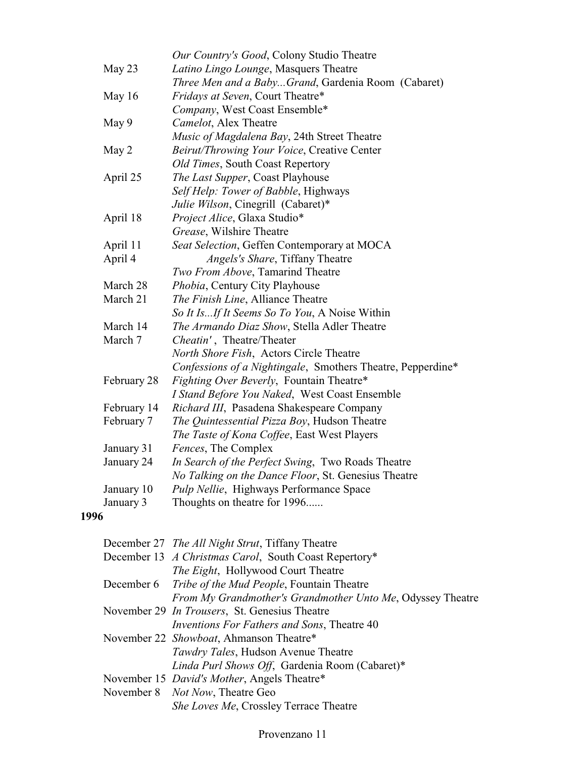|       |             | Our Country's Good, Colony Studio Theatre                   |
|-------|-------------|-------------------------------------------------------------|
|       | May 23      | Latino Lingo Lounge, Masquers Theatre                       |
|       |             | Three Men and a BabyGrand, Gardenia Room (Cabaret)          |
|       | May 16      | Fridays at Seven, Court Theatre*                            |
|       |             | Company, West Coast Ensemble*                               |
| May 9 |             | Camelot, Alex Theatre                                       |
|       |             | Music of Magdalena Bay, 24th Street Theatre                 |
| May 2 |             | Beirut/Throwing Your Voice, Creative Center                 |
|       |             | Old Times, South Coast Repertory                            |
|       | April 25    | The Last Supper, Coast Playhouse                            |
|       |             | Self Help: Tower of Babble, Highways                        |
|       |             | Julie Wilson, Cinegrill (Cabaret)*                          |
|       | April 18    | Project Alice, Glaxa Studio*                                |
|       |             | Grease, Wilshire Theatre                                    |
|       | April 11    | Seat Selection, Geffen Contemporary at MOCA                 |
|       | April 4     | Angels's Share, Tiffany Theatre                             |
|       |             | Two From Above, Tamarind Theatre                            |
|       | March 28    | Phobia, Century City Playhouse                              |
|       | March 21    | The Finish Line, Alliance Theatre                           |
|       |             | So It IsIf It Seems So To You, A Noise Within               |
|       | March 14    | The Armando Diaz Show, Stella Adler Theatre                 |
|       | March 7     | Cheatin', Theatre/Theater                                   |
|       |             | North Shore Fish, Actors Circle Theatre                     |
|       |             | Confessions of a Nightingale, Smothers Theatre, Pepperdine* |
|       | February 28 | Fighting Over Beverly, Fountain Theatre*                    |
|       |             | I Stand Before You Naked, West Coast Ensemble               |
|       | February 14 | Richard III, Pasadena Shakespeare Company                   |
|       | February 7  | The Quintessential Pizza Boy, Hudson Theatre                |
|       |             | The Taste of Kona Coffee, East West Players                 |
|       | January 31  | Fences, The Complex                                         |
|       | January 24  | In Search of the Perfect Swing, Two Roads Theatre           |
|       |             | No Talking on the Dance Floor, St. Genesius Theatre         |
|       | January 10  | Pulp Nellie, Highways Performance Space                     |
|       | January 3   | Thoughts on theatre for 1996                                |
| 1996  |             |                                                             |
|       |             |                                                             |

| December 27 The All Night Strut, Tiffany Theatre             |
|--------------------------------------------------------------|
| December 13 A Christmas Carol, South Coast Repertory*        |
| <i>The Eight</i> , Hollywood Court Theatre                   |
| December 6 <i>Tribe of the Mud People</i> , Fountain Theatre |
| From My Grandmother's Grandmother Unto Me, Odyssey Theatre   |
| November 29 <i>In Trousers</i> , St. Genesius Theatre        |
| <i>Inventions For Fathers and Sons</i> , Theatre 40          |
| November 22 Showboat, Ahmanson Theatre*                      |
| Tawdry Tales, Hudson Avenue Theatre                          |
| Linda Purl Shows Off, Gardenia Room (Cabaret)*               |
| November 15 <i>David's Mother</i> , Angels Theatre*          |
| November 8 <i>Not Now</i> , Theatre Geo                      |
| She Loves Me, Crossley Terrace Theatre                       |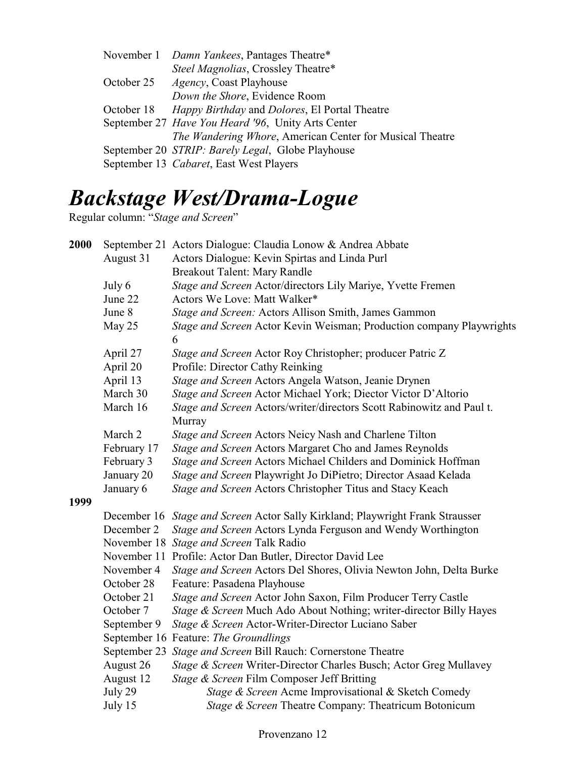|            | November 1 Damn Yankees, Pantages Theatre*                   |  |  |
|------------|--------------------------------------------------------------|--|--|
|            | Steel Magnolias, Crossley Theatre*                           |  |  |
| October 25 | <i>Agency</i> , Coast Playhouse                              |  |  |
|            | Down the Shore, Evidence Room                                |  |  |
| October 18 | <i>Happy Birthday</i> and <i>Dolores</i> , El Portal Theatre |  |  |
|            | September 27 Have You Heard '96, Unity Arts Center           |  |  |
|            | The Wandering Whore, American Center for Musical Theatre     |  |  |
|            | September 20 STRIP: Barely Legal, Globe Playhouse            |  |  |
|            | September 13 Cabaret, East West Players                      |  |  |
|            |                                                              |  |  |

# *Backstage West/Drama-Logue*

Regular column: "*Stage and Screen*"

| 2000 |                                                                                 | September 21 Actors Dialogue: Claudia Lonow & Andrea Abbate                   |  |  |  |  |
|------|---------------------------------------------------------------------------------|-------------------------------------------------------------------------------|--|--|--|--|
|      | August 31<br>Actors Dialogue: Kevin Spirtas and Linda Purl                      |                                                                               |  |  |  |  |
|      |                                                                                 | <b>Breakout Talent: Mary Randle</b>                                           |  |  |  |  |
|      | July 6                                                                          | Stage and Screen Actor/directors Lily Mariye, Yvette Fremen                   |  |  |  |  |
|      | June 22                                                                         | Actors We Love: Matt Walker*                                                  |  |  |  |  |
|      | June 8                                                                          | Stage and Screen: Actors Allison Smith, James Gammon                          |  |  |  |  |
|      | May 25                                                                          | Stage and Screen Actor Kevin Weisman; Production company Playwrights<br>6     |  |  |  |  |
|      | April 27                                                                        | Stage and Screen Actor Roy Christopher; producer Patric Z                     |  |  |  |  |
|      | April 20                                                                        | Profile: Director Cathy Reinking                                              |  |  |  |  |
|      | April 13                                                                        | Stage and Screen Actors Angela Watson, Jeanie Drynen                          |  |  |  |  |
|      | March 30                                                                        | Stage and Screen Actor Michael York; Diector Victor D'Altorio                 |  |  |  |  |
|      | Stage and Screen Actors/writer/directors Scott Rabinowitz and Paul t.<br>Murray |                                                                               |  |  |  |  |
|      | March 2                                                                         | Stage and Screen Actors Neicy Nash and Charlene Tilton                        |  |  |  |  |
|      | February 17                                                                     | Stage and Screen Actors Margaret Cho and James Reynolds                       |  |  |  |  |
|      | February 3                                                                      | Stage and Screen Actors Michael Childers and Dominick Hoffman                 |  |  |  |  |
|      | Stage and Screen Playwright Jo DiPietro; Director Asaad Kelada                  |                                                                               |  |  |  |  |
|      | January 6                                                                       | Stage and Screen Actors Christopher Titus and Stacy Keach                     |  |  |  |  |
| 1999 |                                                                                 |                                                                               |  |  |  |  |
|      |                                                                                 | December 16 Stage and Screen Actor Sally Kirkland; Playwright Frank Strausser |  |  |  |  |
|      | December 2                                                                      | Stage and Screen Actors Lynda Ferguson and Wendy Worthington                  |  |  |  |  |
|      |                                                                                 | November 18 Stage and Screen Talk Radio                                       |  |  |  |  |
|      |                                                                                 | November 11 Profile: Actor Dan Butler, Director David Lee                     |  |  |  |  |
|      | November 4                                                                      | Stage and Screen Actors Del Shores, Olivia Newton John, Delta Burke           |  |  |  |  |
|      | October 28                                                                      | Feature: Pasadena Playhouse                                                   |  |  |  |  |
|      | October 21                                                                      | Stage and Screen Actor John Saxon, Film Producer Terry Castle                 |  |  |  |  |
|      | October 7                                                                       | Stage & Screen Much Ado About Nothing; writer-director Billy Hayes            |  |  |  |  |
|      | September 9                                                                     | Stage & Screen Actor-Writer-Director Luciano Saber                            |  |  |  |  |
|      |                                                                                 | September 16 Feature: The Groundlings                                         |  |  |  |  |
|      | September 23                                                                    | Stage and Screen Bill Rauch: Cornerstone Theatre                              |  |  |  |  |
|      | August 26                                                                       | Stage & Screen Writer-Director Charles Busch; Actor Greg Mullavey             |  |  |  |  |
|      | August 12                                                                       | Stage & Screen Film Composer Jeff Britting                                    |  |  |  |  |
|      | July 29                                                                         | Stage & Screen Acme Improvisational & Sketch Comedy                           |  |  |  |  |
|      | July 15                                                                         | Stage & Screen Theatre Company: Theatricum Botonicum                          |  |  |  |  |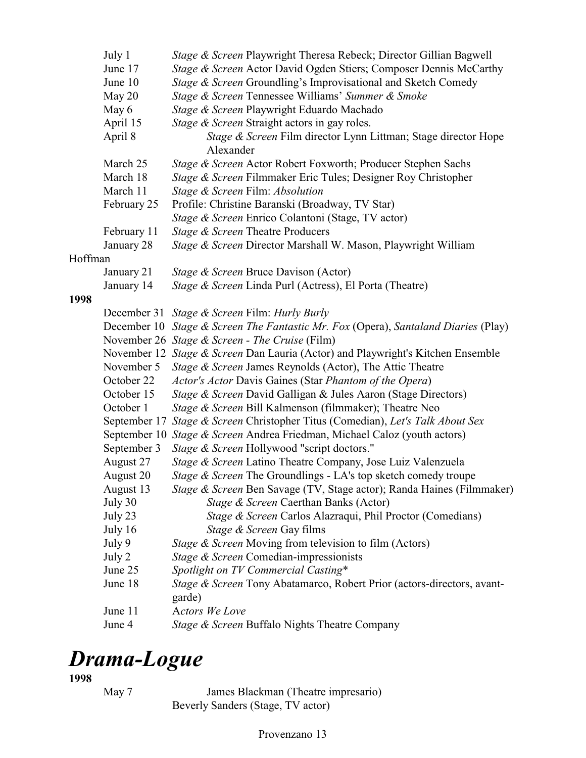|         | July 1                                                                   | Stage & Screen Playwright Theresa Rebeck; Director Gillian Bagwell                 |  |  |  |  |  |
|---------|--------------------------------------------------------------------------|------------------------------------------------------------------------------------|--|--|--|--|--|
|         | June 17                                                                  | Stage & Screen Actor David Ogden Stiers; Composer Dennis McCarthy                  |  |  |  |  |  |
|         | June 10                                                                  | Stage & Screen Groundling's Improvisational and Sketch Comedy                      |  |  |  |  |  |
|         | May 20                                                                   | Stage & Screen Tennessee Williams' Summer & Smoke                                  |  |  |  |  |  |
|         | May 6                                                                    | Stage & Screen Playwright Eduardo Machado                                          |  |  |  |  |  |
|         | April 15                                                                 | Stage & Screen Straight actors in gay roles.                                       |  |  |  |  |  |
|         | April 8                                                                  | Stage & Screen Film director Lynn Littman; Stage director Hope                     |  |  |  |  |  |
|         |                                                                          | Alexander                                                                          |  |  |  |  |  |
|         | Stage & Screen Actor Robert Foxworth; Producer Stephen Sachs<br>March 25 |                                                                                    |  |  |  |  |  |
|         | March 18                                                                 | Stage & Screen Filmmaker Eric Tules; Designer Roy Christopher                      |  |  |  |  |  |
|         | March 11<br>Stage & Screen Film: Absolution                              |                                                                                    |  |  |  |  |  |
|         | February 25                                                              | Profile: Christine Baranski (Broadway, TV Star)                                    |  |  |  |  |  |
|         |                                                                          | Stage & Screen Enrico Colantoni (Stage, TV actor)                                  |  |  |  |  |  |
|         | February 11                                                              | Stage & Screen Theatre Producers                                                   |  |  |  |  |  |
|         | January 28                                                               | Stage & Screen Director Marshall W. Mason, Playwright William                      |  |  |  |  |  |
| Hoffman |                                                                          |                                                                                    |  |  |  |  |  |
|         | January 21                                                               | Stage & Screen Bruce Davison (Actor)                                               |  |  |  |  |  |
|         | January 14                                                               | Stage & Screen Linda Purl (Actress), El Porta (Theatre)                            |  |  |  |  |  |
| 1998    |                                                                          |                                                                                    |  |  |  |  |  |
|         |                                                                          | December 31 Stage & Screen Film: Hurly Burly                                       |  |  |  |  |  |
|         |                                                                          | December 10 Stage & Screen The Fantastic Mr. Fox (Opera), Santaland Diaries (Play) |  |  |  |  |  |
|         |                                                                          | November 26 Stage & Screen - The Cruise (Film)                                     |  |  |  |  |  |
|         |                                                                          | November 12 Stage & Screen Dan Lauria (Actor) and Playwright's Kitchen Ensemble    |  |  |  |  |  |
|         | November 5                                                               | Stage & Screen James Reynolds (Actor), The Attic Theatre                           |  |  |  |  |  |
|         | October 22                                                               | Actor's Actor Davis Gaines (Star Phantom of the Opera)                             |  |  |  |  |  |
|         | October 15                                                               | Stage & Screen David Galligan & Jules Aaron (Stage Directors)                      |  |  |  |  |  |
|         | October 1                                                                | Stage & Screen Bill Kalmenson (filmmaker); Theatre Neo                             |  |  |  |  |  |
|         |                                                                          | September 17 Stage & Screen Christopher Titus (Comedian), Let's Talk About Sex     |  |  |  |  |  |
|         |                                                                          | September 10 Stage & Screen Andrea Friedman, Michael Caloz (youth actors)          |  |  |  |  |  |
|         | September 3                                                              | Stage & Screen Hollywood "script doctors."                                         |  |  |  |  |  |
|         | August 27                                                                | Stage & Screen Latino Theatre Company, Jose Luiz Valenzuela                        |  |  |  |  |  |
|         | August 20                                                                | <i>Stage &amp; Screen</i> The Groundlings - LA's top sketch comedy troupe          |  |  |  |  |  |
|         | August 13                                                                | Stage & Screen Ben Savage (TV, Stage actor); Randa Haines (Filmmaker)              |  |  |  |  |  |
|         | July 30                                                                  | Stage & Screen Caerthan Banks (Actor)                                              |  |  |  |  |  |
|         | July 23                                                                  | Stage & Screen Carlos Alazraqui, Phil Proctor (Comedians)                          |  |  |  |  |  |
|         | July 16                                                                  | Stage & Screen Gay films                                                           |  |  |  |  |  |
|         | July 9                                                                   | Stage & Screen Moving from television to film (Actors)                             |  |  |  |  |  |
|         | July 2                                                                   | Stage & Screen Comedian-impressionists                                             |  |  |  |  |  |
|         | June 25                                                                  | Spotlight on TV Commercial Casting*                                                |  |  |  |  |  |
|         | June 18                                                                  | Stage & Screen Tony Abatamarco, Robert Prior (actors-directors, avant-             |  |  |  |  |  |
|         |                                                                          | garde)                                                                             |  |  |  |  |  |
|         | June 11                                                                  | <b>Actors We Love</b>                                                              |  |  |  |  |  |
|         | June 4                                                                   | Stage & Screen Buffalo Nights Theatre Company                                      |  |  |  |  |  |

# *Drama-Logue*

**1998**

May 7 James Blackman (Theatre impresario) Beverly Sanders (Stage, TV actor)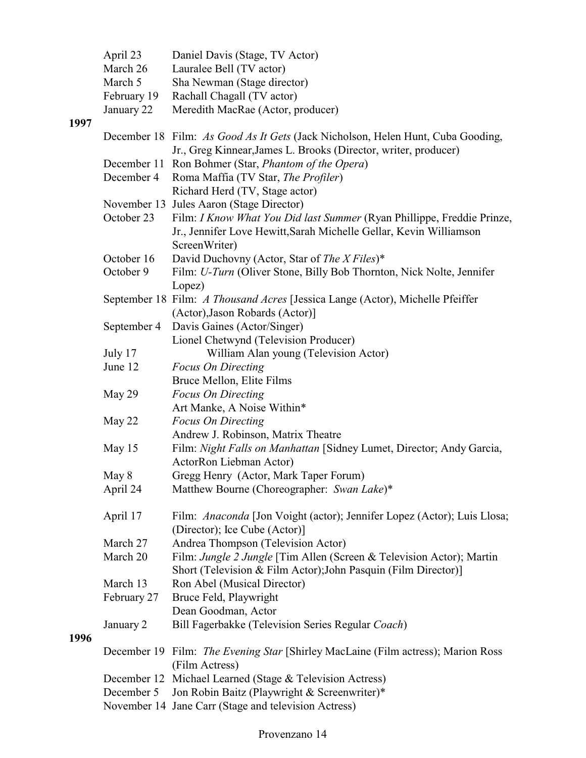|      | April 23                                                                         | Daniel Davis (Stage, TV Actor)                                                                                                                     |  |  |  |  |  |
|------|----------------------------------------------------------------------------------|----------------------------------------------------------------------------------------------------------------------------------------------------|--|--|--|--|--|
|      | March 26                                                                         | Lauralee Bell (TV actor)                                                                                                                           |  |  |  |  |  |
|      | March 5                                                                          | Sha Newman (Stage director)                                                                                                                        |  |  |  |  |  |
|      | February 19                                                                      | Rachall Chagall (TV actor)                                                                                                                         |  |  |  |  |  |
|      | January 22                                                                       | Meredith MacRae (Actor, producer)                                                                                                                  |  |  |  |  |  |
| 1997 |                                                                                  | December 18 Film: As Good As It Gets (Jack Nicholson, Helen Hunt, Cuba Gooding,<br>Jr., Greg Kinnear, James L. Brooks (Director, writer, producer) |  |  |  |  |  |
|      |                                                                                  | December 11 Ron Bohmer (Star, Phantom of the Opera)                                                                                                |  |  |  |  |  |
|      | December 4                                                                       | Roma Maffia (TV Star, The Profiler)                                                                                                                |  |  |  |  |  |
|      |                                                                                  | Richard Herd (TV, Stage actor)                                                                                                                     |  |  |  |  |  |
|      |                                                                                  | November 13 Jules Aaron (Stage Director)                                                                                                           |  |  |  |  |  |
|      | October 23                                                                       | Film: I Know What You Did last Summer (Ryan Phillippe, Freddie Prinze,<br>Jr., Jennifer Love Hewitt, Sarah Michelle Gellar, Kevin Williamson       |  |  |  |  |  |
|      |                                                                                  | ScreenWriter)                                                                                                                                      |  |  |  |  |  |
|      | October 16                                                                       | David Duchovny (Actor, Star of The X Files)*                                                                                                       |  |  |  |  |  |
|      | October 9                                                                        | Film: U-Turn (Oliver Stone, Billy Bob Thornton, Nick Nolte, Jennifer                                                                               |  |  |  |  |  |
|      |                                                                                  | Lopez)                                                                                                                                             |  |  |  |  |  |
|      |                                                                                  | September 18 Film: A Thousand Acres [Jessica Lange (Actor), Michelle Pfeiffer                                                                      |  |  |  |  |  |
|      |                                                                                  | (Actor), Jason Robards (Actor)]                                                                                                                    |  |  |  |  |  |
|      | September 4                                                                      | Davis Gaines (Actor/Singer)                                                                                                                        |  |  |  |  |  |
|      |                                                                                  | Lionel Chetwynd (Television Producer)                                                                                                              |  |  |  |  |  |
|      | July 17                                                                          | William Alan young (Television Actor)                                                                                                              |  |  |  |  |  |
|      | June 12                                                                          | <b>Focus On Directing</b>                                                                                                                          |  |  |  |  |  |
|      |                                                                                  | Bruce Mellon, Elite Films                                                                                                                          |  |  |  |  |  |
|      | May 29                                                                           | <b>Focus On Directing</b>                                                                                                                          |  |  |  |  |  |
|      |                                                                                  | Art Manke, A Noise Within*                                                                                                                         |  |  |  |  |  |
|      | May 22                                                                           | <b>Focus On Directing</b>                                                                                                                          |  |  |  |  |  |
|      |                                                                                  | Andrew J. Robinson, Matrix Theatre                                                                                                                 |  |  |  |  |  |
|      | May 15                                                                           | Film: Night Falls on Manhattan [Sidney Lumet, Director; Andy Garcia,                                                                               |  |  |  |  |  |
|      |                                                                                  | ActorRon Liebman Actor)                                                                                                                            |  |  |  |  |  |
|      | May 8                                                                            | Gregg Henry (Actor, Mark Taper Forum)                                                                                                              |  |  |  |  |  |
|      | April 24                                                                         | Matthew Bourne (Choreographer: Swan Lake)*                                                                                                         |  |  |  |  |  |
|      | April 17                                                                         | Film: Anaconda [Jon Voight (actor); Jennifer Lopez (Actor); Luis Llosa;<br>(Director); Ice Cube (Actor)]                                           |  |  |  |  |  |
|      | March 27                                                                         | Andrea Thompson (Television Actor)                                                                                                                 |  |  |  |  |  |
|      | March 20                                                                         | Film: Jungle 2 Jungle [Tim Allen (Screen & Television Actor); Martin                                                                               |  |  |  |  |  |
|      |                                                                                  | Short (Television & Film Actor); John Pasquin (Film Director)]                                                                                     |  |  |  |  |  |
|      | March 13                                                                         | Ron Abel (Musical Director)                                                                                                                        |  |  |  |  |  |
|      | February 27                                                                      | Bruce Feld, Playwright                                                                                                                             |  |  |  |  |  |
|      |                                                                                  | Dean Goodman, Actor                                                                                                                                |  |  |  |  |  |
|      | January 2                                                                        | Bill Fagerbakke (Television Series Regular Coach)                                                                                                  |  |  |  |  |  |
| 1996 |                                                                                  |                                                                                                                                                    |  |  |  |  |  |
|      | December 19 Film: The Evening Star [Shirley MacLaine (Film actress); Marion Ross |                                                                                                                                                    |  |  |  |  |  |
|      |                                                                                  | (Film Actress)                                                                                                                                     |  |  |  |  |  |
|      |                                                                                  | December 12 Michael Learned (Stage & Television Actress)                                                                                           |  |  |  |  |  |
|      | December 5                                                                       | Jon Robin Baitz (Playwright & Screenwriter)*                                                                                                       |  |  |  |  |  |
|      |                                                                                  | November 14 Jane Carr (Stage and television Actress)                                                                                               |  |  |  |  |  |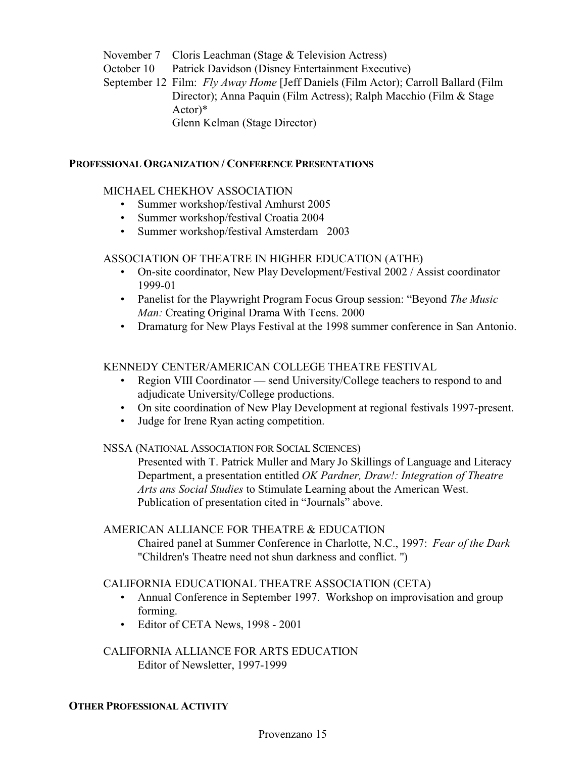- November 7 Cloris Leachman (Stage & Television Actress)
- October 10 Patrick Davidson (Disney Entertainment Executive)

September 12 Film: *Fly Away Home* [Jeff Daniels (Film Actor); Carroll Ballard (Film Director); Anna Paquin (Film Actress); Ralph Macchio (Film & Stage Actor)\*

Glenn Kelman (Stage Director)

#### **PROFESSIONAL ORGANIZATION / CONFERENCE PRESENTATIONS**

# MICHAEL CHEKHOV ASSOCIATION

- Summer workshop/festival Amhurst 2005
- Summer workshop/festival Croatia 2004
- Summer workshop/festival Amsterdam 2003

# ASSOCIATION OF THEATRE IN HIGHER EDUCATION (ATHE)

- On-site coordinator, New Play Development/Festival 2002 / Assist coordinator 1999-01
- Panelist for the Playwright Program Focus Group session: "Beyond *The Music Man: Creating Original Drama With Teens. 2000*
- Dramaturg for New Plays Festival at the 1998 summer conference in San Antonio.

# KENNEDY CENTER/AMERICAN COLLEGE THEATRE FESTIVAL

- Region VIII Coordinator send University/College teachers to respond to and adjudicate University/College productions.
- On site coordination of New Play Development at regional festivals 1997-present.
- Judge for Irene Ryan acting competition.

# NSSA (NATIONAL ASSOCIATION FOR SOCIAL SCIENCES)

Presented with T. Patrick Muller and Mary Jo Skillings of Language and Literacy Department, a presentation entitled *OK Pardner, Draw!: Integration of Theatre Arts ans Social Studies* to Stimulate Learning about the American West. Publication of presentation cited in "Journals" above.

# AMERICAN ALLIANCE FOR THEATRE & EDUCATION

 Chaired panel at Summer Conference in Charlotte, N.C., 1997: *Fear of the Dark* "Children's Theatre need not shun darkness and conflict. ")

# CALIFORNIA EDUCATIONAL THEATRE ASSOCIATION (CETA)

- Annual Conference in September 1997. Workshop on improvisation and group forming.
- Editor of CETA News, 1998 2001

CALIFORNIA ALLIANCE FOR ARTS EDUCATION Editor of Newsletter, 1997-1999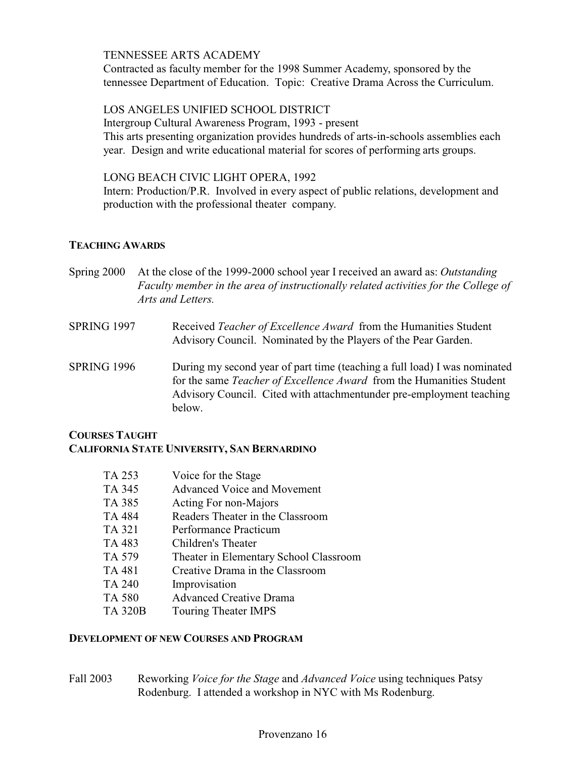# TENNESSEE ARTS ACADEMY

Contracted as faculty member for the 1998 Summer Academy, sponsored by the tennessee Department of Education. Topic: Creative Drama Across the Curriculum.

# LOS ANGELES UNIFIED SCHOOL DISTRICT

Intergroup Cultural Awareness Program, 1993 - present This arts presenting organization provides hundreds of arts-in-schools assemblies each year. Design and write educational material for scores of performing arts groups.

# LONG BEACH CIVIC LIGHT OPERA, 1992

Intern: Production/P.R. Involved in every aspect of public relations, development and production with the professional theater company.

# **TEACHING AWARDS**

- Spring 2000 At the close of the 1999-2000 school year I received an award as: *Outstanding Faculty member in the area of instructionally related activities for the College of Arts and Letters.*
- SPRING 1997 Received *Teacher of Excellence Award* from the Humanities Student Advisory Council. Nominated by the Players of the Pear Garden.
- SPRING 1996 During my second year of part time (teaching a full load) I was nominated for the same *Teacher of Excellence Award* from the Humanities Student Advisory Council. Cited with attachmentunder pre-employment teaching below.

# **COURSES TAUGHT CALIFORNIA STATE UNIVERSITY, SAN BERNARDINO**

| TA 253         | Voice for the Stage                    |
|----------------|----------------------------------------|
| TA 345         | Advanced Voice and Movement            |
| TA 385         | Acting For non-Majors                  |
| TA 484         | Readers Theater in the Classroom       |
| TA 321         | Performance Practicum                  |
| TA 483         | Children's Theater                     |
| TA 579         | Theater in Elementary School Classroom |
| TA 481         | Creative Drama in the Classroom        |
| <b>TA 240</b>  | Improvisation                          |
| <b>TA 580</b>  | <b>Advanced Creative Drama</b>         |
| <b>TA 320B</b> | Touring Theater IMPS                   |

# **DEVELOPMENT OF NEW COURSES AND PROGRAM**

Fall 2003 Reworking *Voice for the Stage* and *Advanced Voice* using techniques Patsy Rodenburg. I attended a workshop in NYC with Ms Rodenburg.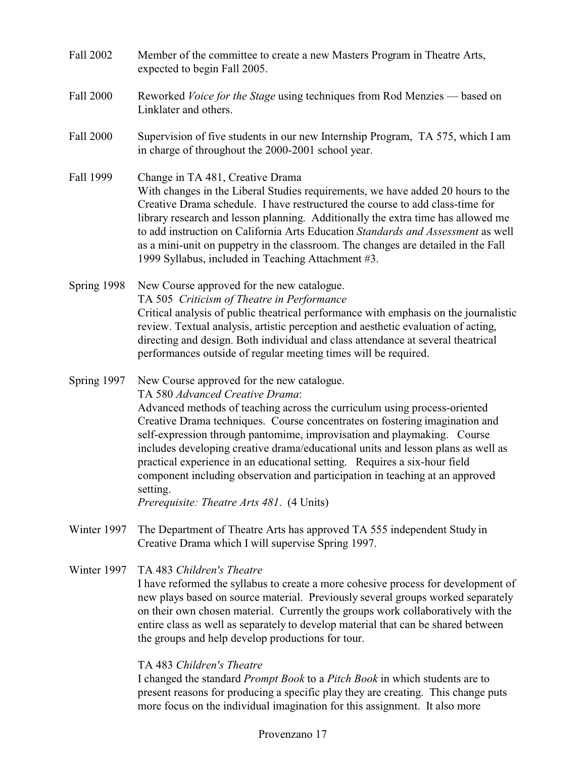- Fall 2002 Member of the committee to create a new Masters Program in Theatre Arts, expected to begin Fall 2005.
- Fall 2000 Reworked *Voice for the Stage* using techniques from Rod Menzies based on Linklater and others.
- Fall 2000 Supervision of five students in our new Internship Program, TA 575, which I am in charge of throughout the 2000-2001 school year.
- Fall 1999 Change in TA 481, Creative Drama With changes in the Liberal Studies requirements, we have added 20 hours to the Creative Drama schedule. I have restructured the course to add class-time for library research and lesson planning. Additionally the extra time has allowed me to add instruction on California Arts Education *Standards and Assessment* as well as a mini-unit on puppetry in the classroom. The changes are detailed in the Fall 1999 Syllabus, included in Teaching Attachment #3.
- Spring 1998 New Course approved for the new catalogue. TA 505 *Criticism of Theatre in Performance* Critical analysis of public theatrical performance with emphasis on the journalistic review. Textual analysis, artistic perception and aesthetic evaluation of acting, directing and design. Both individual and class attendance at several theatrical performances outside of regular meeting times will be required.
- Spring 1997 New Course approved for the new catalogue.

TA 580 *Advanced Creative Drama*:

Advanced methods of teaching across the curriculum using process-oriented Creative Drama techniques. Course concentrates on fostering imagination and self-expression through pantomime, improvisation and playmaking. Course includes developing creative drama/educational units and lesson plans as well as practical experience in an educational setting. Requires a six-hour field component including observation and participation in teaching at an approved setting.

*Prerequisite: Theatre Arts 481*. (4 Units)

- Winter 1997 The Department of Theatre Arts has approved TA 555 independent Study in Creative Drama which I will supervise Spring 1997.
- Winter 1997 TA 483 *Children's Theatre* I have reformed the syllabus to create a more cohesive process for development of new plays based on source material. Previously several groups worked separately on their own chosen material. Currently the groups work collaboratively with the entire class as well as separately to develop material that can be shared between the groups and help develop productions for tour.

# TA 483 *Children's Theatre*

I changed the standard *Prompt Book* to a *Pitch Book* in which students are to present reasons for producing a specific play they are creating. This change puts more focus on the individual imagination for this assignment. It also more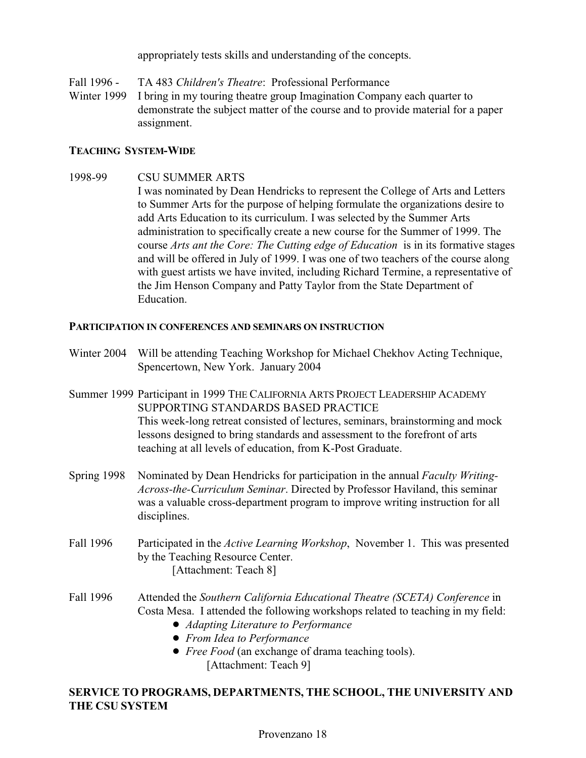appropriately tests skills and understanding of the concepts.

Fall 1996 - TA 483 *Children's Theatre*: Professional Performance Winter 1999 I bring in my touring theatre group Imagination Company each quarter to demonstrate the subject matter of the course and to provide material for a paper assignment.

# **TEACHING SYSTEM-WIDE**

1998-99 CSU SUMMER ARTS

I was nominated by Dean Hendricks to represent the College of Arts and Letters to Summer Arts for the purpose of helping formulate the organizations desire to add Arts Education to its curriculum. I was selected by the Summer Arts administration to specifically create a new course for the Summer of 1999. The course *Arts ant the Core: The Cutting edge of Education* is in its formative stages and will be offered in July of 1999. I was one of two teachers of the course along with guest artists we have invited, including Richard Termine, a representative of the Jim Henson Company and Patty Taylor from the State Department of Education.

# **PARTICIPATION IN CONFERENCES AND SEMINARS ON INSTRUCTION**

- Winter 2004 Will be attending Teaching Workshop for Michael Chekhov Acting Technique, Spencertown, New York. January 2004
- Summer 1999 Participant in 1999 THE CALIFORNIA ARTS PROJECT LEADERSHIP ACADEMY SUPPORTING STANDARDS BASED PRACTICE This week-long retreat consisted of lectures, seminars, brainstorming and mock lessons designed to bring standards and assessment to the forefront of arts teaching at all levels of education, from K-Post Graduate.
- Spring 1998 Nominated by Dean Hendricks for participation in the annual *Faculty Writing-Across-the-Curriculum Seminar*. Directed by Professor Haviland, this seminar was a valuable cross-department program to improve writing instruction for all disciplines.
- Fall 1996 Participated in the *Active Learning Workshop*, November 1. This was presented by the Teaching Resource Center. [Attachment: Teach 8]
- Fall 1996 Attended the *Southern California Educational Theatre (SCETA) Conference* in Costa Mesa. I attended the following workshops related to teaching in my field:
	- ! *Adapting Literature to Performance*
	- ! *From Idea to Performance*
	- ! *Free Food* (an exchange of drama teaching tools). [Attachment: Teach 9]

# **SERVICE TO PROGRAMS, DEPARTMENTS, THE SCHOOL, THE UNIVERSITY AND THE CSU SYSTEM**